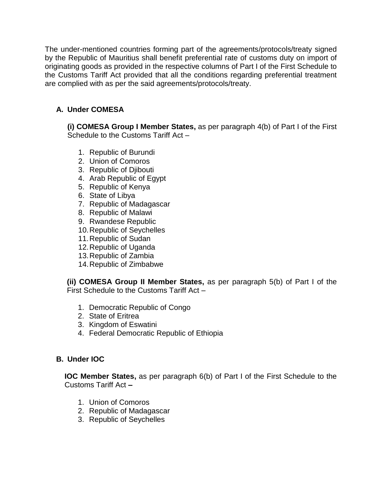The under-mentioned countries forming part of the agreements/protocols/treaty signed by the Republic of Mauritius shall benefit preferential rate of customs duty on import of originating goods as provided in the respective columns of Part I of the First Schedule to the Customs Tariff Act provided that all the conditions regarding preferential treatment are complied with as per the said agreements/protocols/treaty.

## **A. Under COMESA**

**(i) COMESA Group I Member States,** as per paragraph 4(b) of Part I of the First Schedule to the Customs Tariff Act –

- 1. Republic of Burundi
- 2. Union of Comoros
- 3. Republic of Djibouti
- 4. Arab Republic of Egypt
- 5. Republic of Kenya
- 6. State of Libya
- 7. Republic of Madagascar
- 8. Republic of Malawi
- 9. Rwandese Republic
- 10.Republic of Seychelles
- 11.Republic of Sudan
- 12.Republic of Uganda
- 13.Republic of Zambia
- 14.Republic of Zimbabwe

**(ii) COMESA Group II Member States,** as per paragraph 5(b) of Part I of the First Schedule to the Customs Tariff Act –

- 1. Democratic Republic of Congo
- 2. State of Eritrea
- 3. Kingdom of Eswatini
- 4. Federal Democratic Republic of Ethiopia

# **B. Under IOC**

**IOC Member States,** as per paragraph 6(b) of Part I of the First Schedule to the Customs Tariff Act **–**

- 1. Union of Comoros
- 2. Republic of Madagascar
- 3. Republic of Seychelles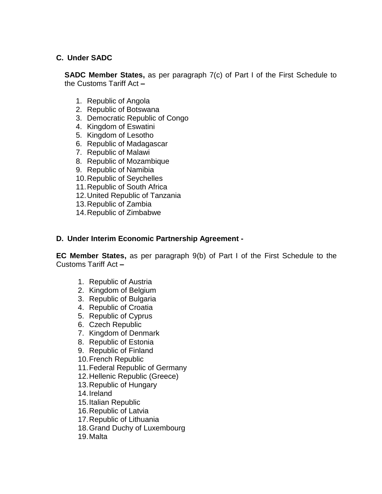### **C. Under SADC**

**SADC Member States,** as per paragraph 7(c) of Part I of the First Schedule to the Customs Tariff Act **–**

- 1. Republic of Angola
- 2. Republic of Botswana
- 3. Democratic Republic of Congo
- 4. Kingdom of Eswatini
- 5. Kingdom of Lesotho
- 6. Republic of Madagascar
- 7. Republic of Malawi
- 8. Republic of Mozambique
- 9. Republic of Namibia
- 10.Republic of Seychelles
- 11.Republic of South Africa
- 12.United Republic of Tanzania
- 13.Republic of Zambia
- 14.Republic of Zimbabwe

### **D. Under Interim Economic Partnership Agreement -**

**EC Member States,** as per paragraph 9(b) of Part I of the First Schedule to the Customs Tariff Act **–**

- 1. Republic of Austria
- 2. Kingdom of Belgium
- 3. Republic of Bulgaria
- 4. Republic of Croatia
- 5. Republic of Cyprus
- 6. Czech Republic
- 7. Kingdom of Denmark
- 8. Republic of Estonia
- 9. Republic of Finland
- 10.French Republic
- 11.Federal Republic of Germany
- 12.Hellenic Republic (Greece)
- 13.Republic of Hungary
- 14.Ireland
- 15.Italian Republic
- 16.Republic of Latvia
- 17.Republic of Lithuania
- 18.Grand Duchy of Luxembourg
- 19.Malta